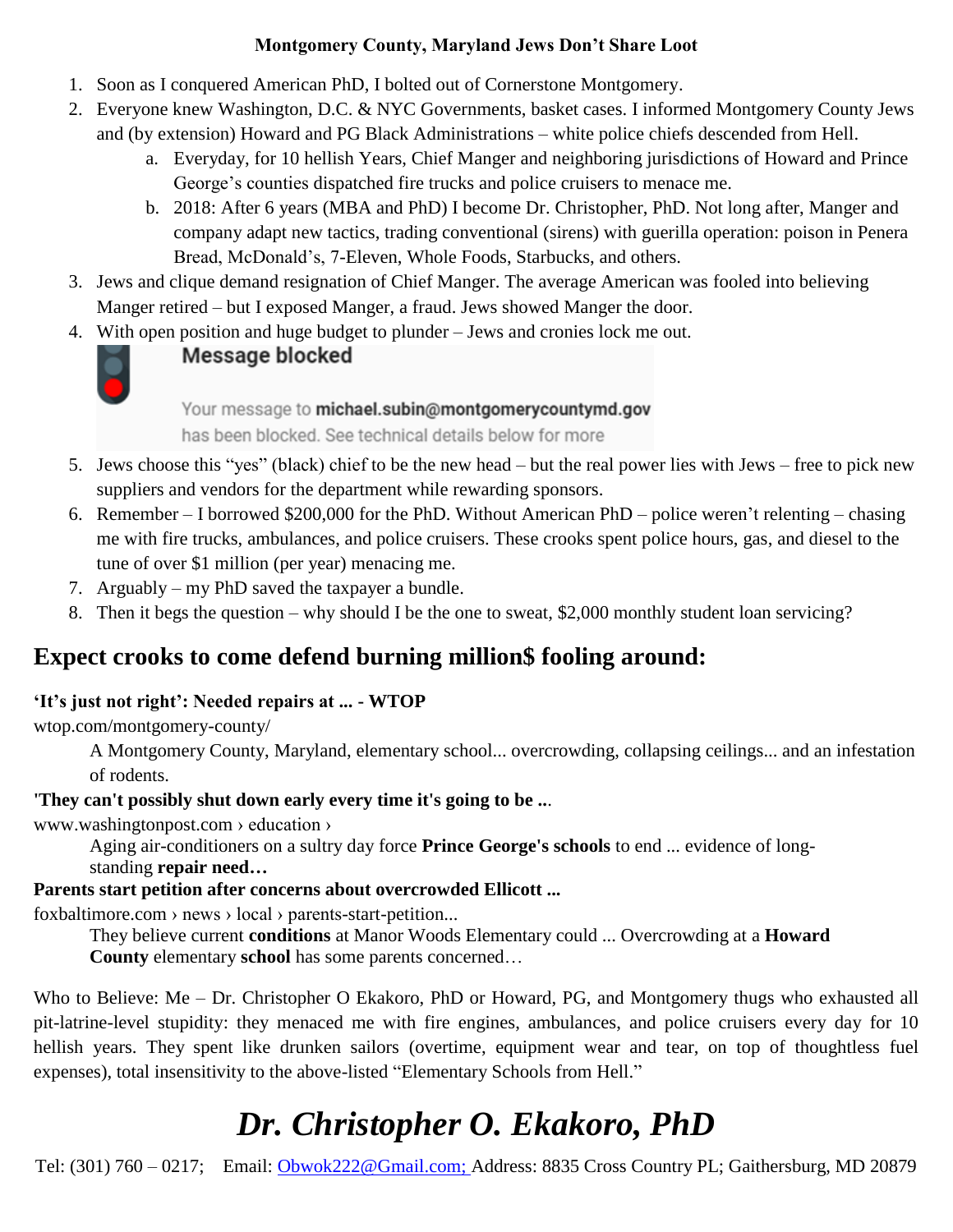#### **Montgomery County, Maryland Jews Don't Share Loot**

- 1. Soon as I conquered American PhD, I bolted out of Cornerstone Montgomery.
- 2. Everyone knew Washington, D.C. & NYC Governments, basket cases. I informed Montgomery County Jews and (by extension) Howard and PG Black Administrations – white police chiefs descended from Hell.
	- a. Everyday, for 10 hellish Years, Chief Manger and neighboring jurisdictions of Howard and Prince George's counties dispatched fire trucks and police cruisers to menace me.
	- b. 2018: After 6 years (MBA and PhD) I become Dr. Christopher, PhD. Not long after, Manger and company adapt new tactics, trading conventional (sirens) with guerilla operation: poison in Penera Bread, McDonald's, 7-Eleven, Whole Foods, Starbucks, and others.
- 3. Jews and clique demand resignation of Chief Manger. The average American was fooled into believing Manger retired – but I exposed Manger, a fraud. Jews showed Manger the door.
- 4. With open position and huge budget to plunder Jews and cronies lock me out.



#### Message blocked

Your message to michael.subin@montgomerycountymd.gov has been blocked. See technical details below for more

- 5. Jews choose this "yes" (black) chief to be the new head but the real power lies with Jews free to pick new suppliers and vendors for the department while rewarding sponsors.
- 6. Remember I borrowed \$200,000 for the PhD. Without American PhD police weren't relenting chasing me with fire trucks, ambulances, and police cruisers. These crooks spent police hours, gas, and diesel to the tune of over \$1 million (per year) menacing me.
- 7. Arguably my PhD saved the taxpayer a bundle.
- 8. Then it begs the question why should I be the one to sweat, \$2,000 monthly student loan servicing?

### **Expect crooks to come defend burning million\$ fooling around:**

#### **'It's just not right': Needed repairs at ... - WTOP**

wtop.com/montgomery-county/

A Montgomery County, Maryland, elementary school... overcrowding, collapsing ceilings... and an infestation of rodents.

#### **'They can't possibly shut down early every time it's going to be ..**.

www.washingtonpost.com › education ›

Aging air-conditioners on a sultry day force **Prince George's schools** to end ... evidence of long-

standing **repair need…**

#### **Parents start petition after concerns about overcrowded Ellicott ...**

foxbaltimore.com › news › local › parents-start-petition...

They believe current **conditions** at Manor Woods Elementary could ... Overcrowding at a **Howard** 

**County** elementary **school** has some parents concerned…

Who to Believe: Me – Dr. Christopher O Ekakoro, PhD or Howard, PG, and Montgomery thugs who exhausted all pit-latrine-level stupidity: they menaced me with fire engines, ambulances, and police cruisers every day for 10 hellish years. They spent like drunken sailors (overtime, equipment wear and tear, on top of thoughtless fuel expenses), total insensitivity to the above-listed "Elementary Schools from Hell."

# *Dr. Christopher O. Ekakoro, PhD*

Tel: (301) 760 – 0217; Email: [Obwok222@Gmail.com;](mailto:Obwok222@Gmail.com) Address: 8835 Cross Country PL; Gaithersburg, MD 20879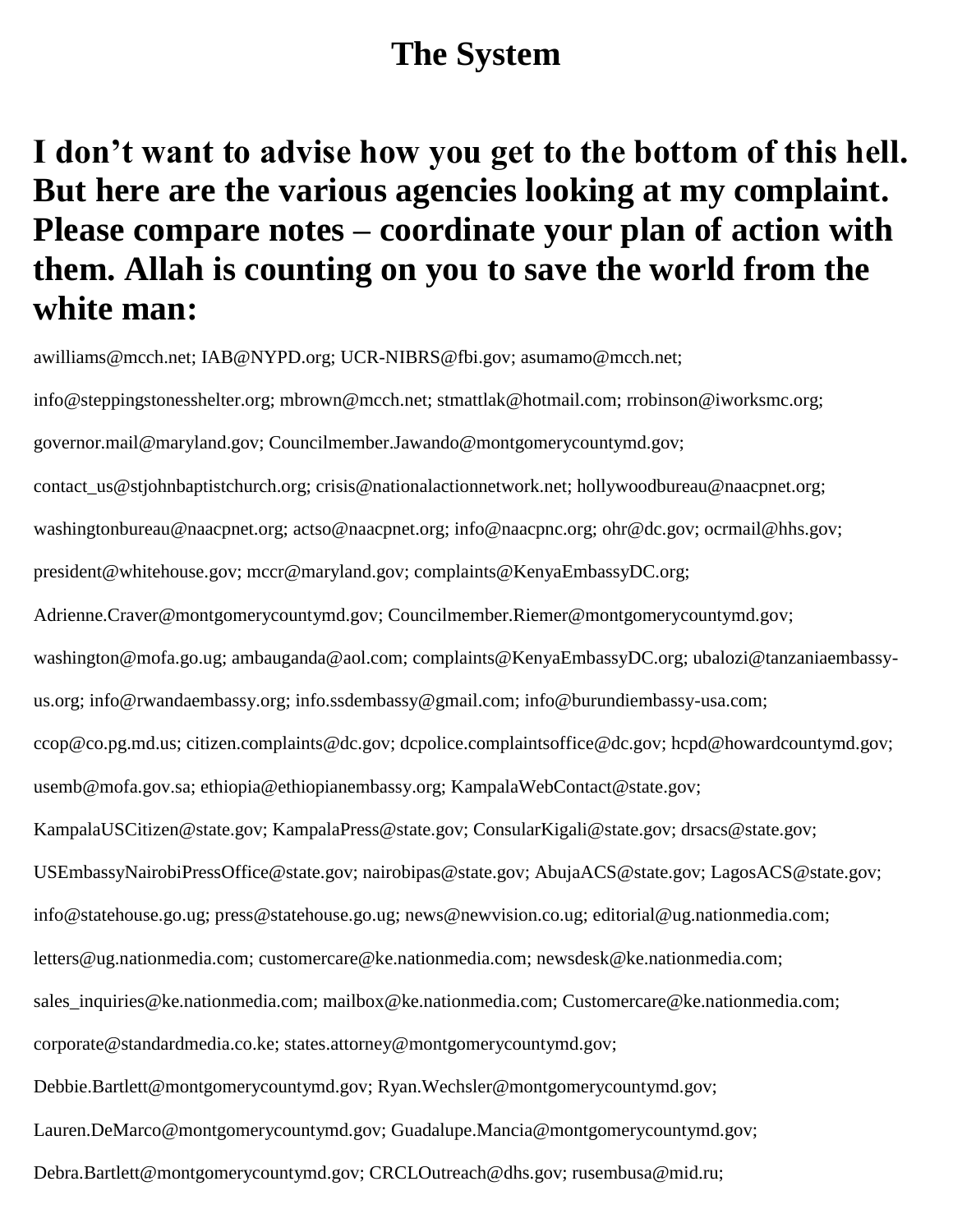### **The System**

## **I don't want to advise how you get to the bottom of this hell. But here are the various agencies looking at my complaint. Please compare notes – coordinate your plan of action with them. Allah is counting on you to save the world from the white man:**

awilliams@mcch.net; IAB@NYPD.org; UCR-NIBRS@fbi.gov; asumamo@mcch.net;

info@steppingstonesshelter.org; mbrown@mcch.net; stmattlak@hotmail.com; rrobinson@iworksmc.org; governor.mail@maryland.gov; Councilmember.Jawando@montgomerycountymd.gov; contact\_us@stjohnbaptistchurch.org; crisis@nationalactionnetwork.net; hollywoodbureau@naacpnet.org; washingtonbureau@naacpnet.org; actso@naacpnet.org; info@naacpnc.org; ohr@dc.gov; ocrmail@hhs.gov; president@whitehouse.gov; mccr@maryland.gov; complaints@KenyaEmbassyDC.org; Adrienne.Craver@montgomerycountymd.gov; Councilmember.Riemer@montgomerycountymd.gov; washington@mofa.go.ug; ambauganda@aol.com; complaints@KenyaEmbassyDC.org; ubalozi@tanzaniaembassyus.org; info@rwandaembassy.org; info.ssdembassy@gmail.com; info@burundiembassy-usa.com; ccop@co.pg.md.us; citizen.complaints@dc.gov; dcpolice.complaintsoffice@dc.gov; hcpd@howardcountymd.gov; usemb@mofa.gov.sa; ethiopia@ethiopianembassy.org; KampalaWebContact@state.gov; KampalaUSCitizen@state.gov; KampalaPress@state.gov; ConsularKigali@state.gov; drsacs@state.gov; USEmbassyNairobiPressOffice@state.gov; nairobipas@state.gov; AbujaACS@state.gov; LagosACS@state.gov; info@statehouse.go.ug; press@statehouse.go.ug; news@newvision.co.ug; editorial@ug.nationmedia.com; letters@ug.nationmedia.com; customercare@ke.nationmedia.com; newsdesk@ke.nationmedia.com; sales\_inquiries@ke.nationmedia.com; mailbox@ke.nationmedia.com; Customercare@ke.nationmedia.com; corporate@standardmedia.co.ke; states.attorney@montgomerycountymd.gov; Debbie.Bartlett@montgomerycountymd.gov; Ryan.Wechsler@montgomerycountymd.gov; Lauren.DeMarco@montgomerycountymd.gov; Guadalupe.Mancia@montgomerycountymd.gov; Debra.Bartlett@montgomerycountymd.gov; CRCLOutreach@dhs.gov; rusembusa@mid.ru;